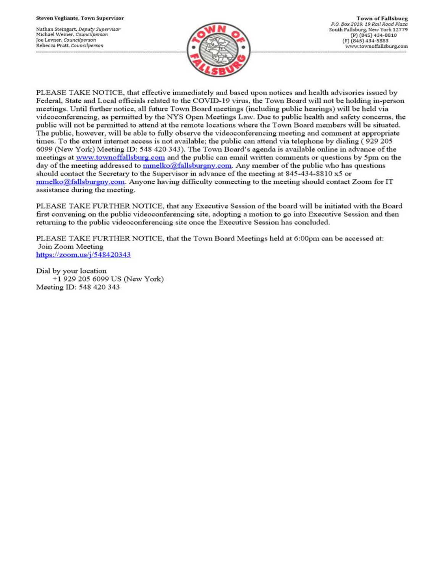Nathan Steingart, Deputy Supervisor Michael Weiner, Councilperson Joe Levner, Councilperson Rebecca Pratt, Councilperson



PLEASE TAKE NOTICE, that effective immediately and based upon notices and health advisories issued by Federal, State and Local officials related to the COVID-19 virus, the Town Board will not be holding in-person meetings. Until further notice, all future Town Board meetings (including public hearings) will be held via videoconferencing, as permitted by the NYS Open Meetings Law. Due to public health and safety concerns, the public will not be permitted to attend at the remote locations where the Town Board members will be situated. The public, however, will be able to fully observe the videoconferencing meeting and comment at appropriate times. To the extent internet access is not available; the public can attend via telephone by dialing (929 205 6099 (New York) Meeting ID: 548 420 343). The Town Board's agenda is available online in advance of the meetings at www.townoffallsburg.com and the public can email written comments or questions by 5pm on the day of the meeting addressed to  $\frac{mmelko@fallsburgny.com}{mclubuygny.com}$ . Any member of the public who has questions should contact the Secretary to the Supervisor in advance of the meeting at 845-434-8810 x5 or  $mmelko@fallsburgny.com.$  Anyone having difficulty connecting to the meeting should contact Zoom for IT assistance during the meeting.

PLEASE TAKE FURTHER NOTICE, that any Executive Session of the board will be initiated with the Board first convening on the public videoconferencing site, adopting a motion to go into Executive Session and then returning to the public videoconferencing site once the Executive Session has concluded.

PLEASE TAKE FURTHER NOTICE, that the Town Board Meetings held at 6:00pm can be accessed at: Join Zoom Meeting https://zoom.us/j/548420343

Dial by your location +1 929 205 6099 US (New York) Meeting ID: 548 420 343